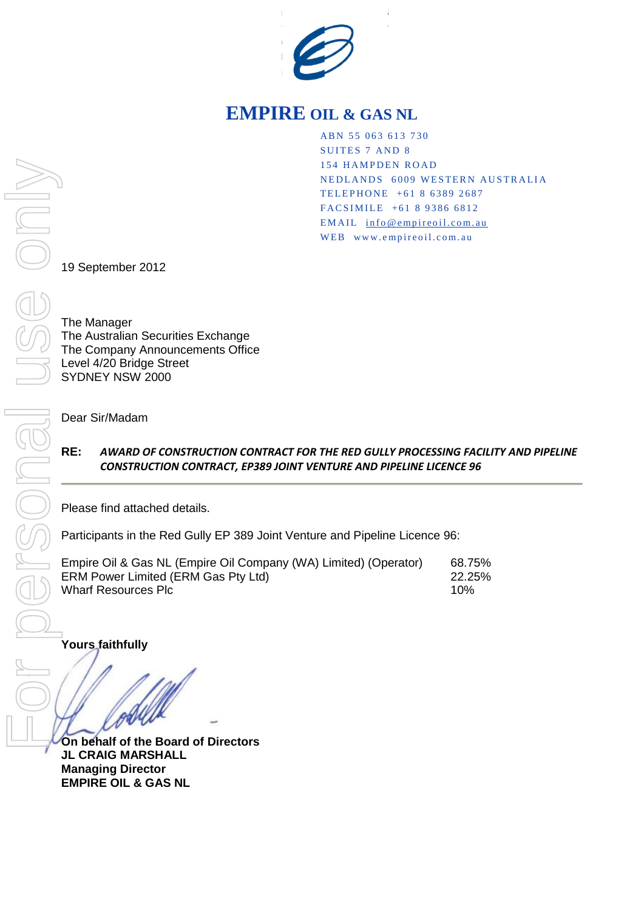

## **EMPIRE OIL & GAS NL**

ABN 55 063 613 730 SUITES 7 AND 8 154 HAMPDEN ROAD NEDLANDS 6009 WESTERN AUSTRALIA TELEPHONE +61 8 6389 2687 FACSIMILE +61 8 9386 6812 EMAIL info@empireoil.com.au WEB www.empireoil.com.au

19 September 2012

The Manager The Australian Securities Exchange The Company Announcements Office Level 4/20 Bridge Street SYDNEY NSW 2000

Dear Sir/Madam

## **RE:** *AWARD OF CONSTRUCTION CONTRACT FOR THE RED GULLY PROCESSING FACILITY AND PIPELINE CONSTRUCTION CONTRACT, EP389 JOINT VENTURE AND PIPELINE LICENCE 96*

Please find attached details.

Participants in the Red Gully EP 389 Joint Venture and Pipeline Licence 96:

| Empire Oil & Gas NL (Empire Oil Company (WA) Limited) (Operator) | 68.75% |
|------------------------------------------------------------------|--------|
| <b>ERM Power Limited (ERM Gas Pty Ltd)</b>                       | 22.25% |
| Wharf Resources Plc                                              | 10%    |

**Yours faithfully** 

**On behalf of the Board of Directors JL CRAIG MARSHALL Managing Director EMPIRE OIL & GAS NL**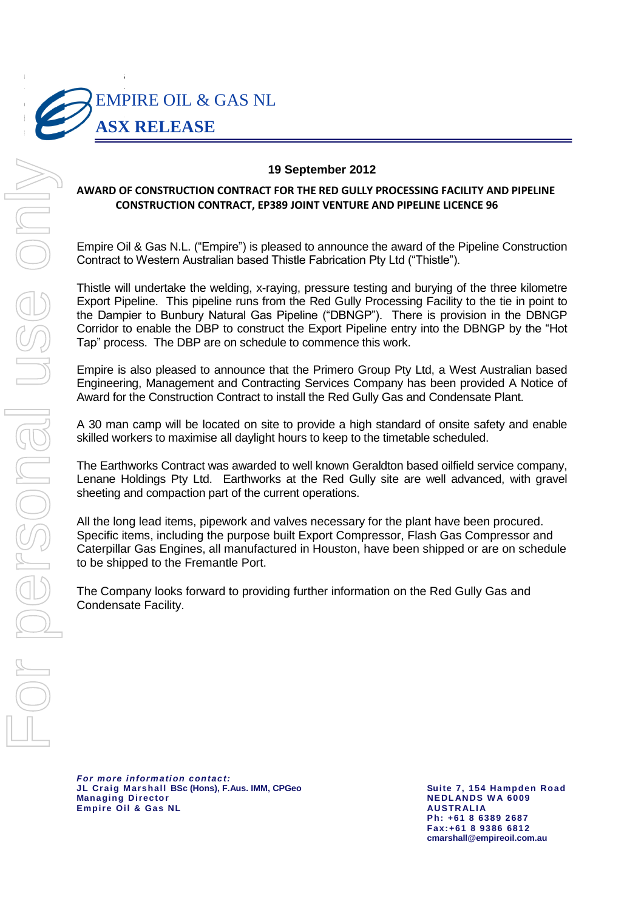

## **19 September 2012**

## **AWARD OF CONSTRUCTION CONTRACT FOR THE RED GULLY PROCESSING FACILITY AND PIPELINE CONSTRUCTION CONTRACT, EP389 JOINT VENTURE AND PIPELINE LICENCE 96**

**Empire Oil & Gas N.L. ("Empire") is pleased to announce the award of the Pipeline Construction** Contract to Western Australian based Thistle Fabrication Pty Ltd ("Thistle").

> Thistle will undertake the welding, x-raying, pressure testing and burying of the three kilometre Export Pipeline. This pipeline runs from the Red Gully Processing Facility to the tie in point to the Dampier to Bunbury Natural Gas Pipeline ("DBNGP"). There is provision in the DBNGP Corridor to enable the DBP to construct the Export Pipeline entry into the DBNGP by the "Hot Tap" process. The DBP are on schedule to commence this work.

> Empire is also pleased to announce that the Primero Group Pty Ltd, a West Australian based Engineering, Management and Contracting Services Company has been provided A Notice of Award for the Construction Contract to install the Red Gully Gas and Condensate Plant.

> A 30 man camp will be located on site to provide a high standard of onsite safety and enable skilled workers to maximise all daylight hours to keep to the timetable scheduled.

> The Earthworks Contract was awarded to well known Geraldton based oilfield service company, Lenane Holdings Pty Ltd. Earthworks at the Red Gully site are well advanced, with gravel sheeting and compaction part of the current operations.

> All the long lead items, pipework and valves necessary for the plant have been procured. Specific items, including the purpose built Export Compressor, Flash Gas Compressor and Caterpillar Gas Engines, all manufactured in Houston, have been shipped or are on schedule to be shipped to the Fremantle Port.

The Company looks forward to providing further information on the Red Gully Gas and Condensate Facility.

*For more information contact:* **JL Craig Marshall BSc (Hons), F.Aus. IMM, CPGeo Suite 7, 154 Hampden Road Empire Oil & Gas NL AUSTR ALI A**

**NEDLANDS WA 6009 Ph: +61 8 6389 2687 Fax:+61 8 9386 6812**